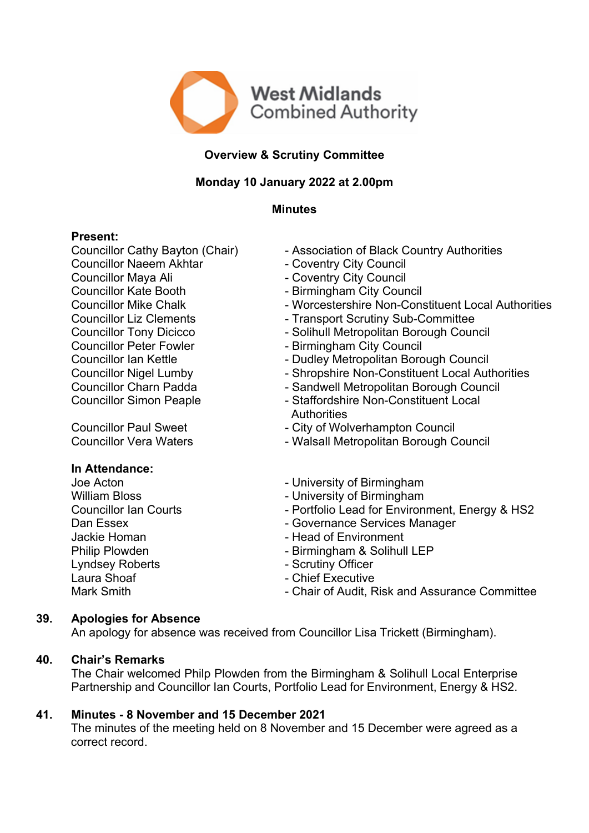

# **Overview & Scrutiny Committee**

# **Monday 10 January 2022 at 2.00pm**

## **Minutes**

## **Present:**

Councillor Naeem Akhtar - Coventry City Council Councillor Maya Ali - Coventry City Council Councillor Kate Booth - Birmingham City Council Councillor Peter Fowler - Birmingham City Council

## **In Attendance:**

Lyndsey Roberts **- Scrutiny Officer** Laura Shoaf - Chief Executive

- Councillor Cathy Bayton (Chair) Association of Black Country Authorities
	-
	-
	-
- Councillor Mike Chalk Worcestershire Non-Constituent Local Authorities
- Councillor Liz Clements Transport Scrutiny Sub-Committee
- Councillor Tony Dicicco Solihull Metropolitan Borough Council
	-
- Councillor Ian Kettle **Councillor Ian Kettle** Dudley Metropolitan Borough Council
- Councillor Nigel Lumby Shropshire Non-Constituent Local Authorities
- Councillor Charn Padda Sandwell Metropolitan Borough Council
- Councillor Simon Peaple  **Staffordshire Non-Constituent Local Authorities**
- Councillor Paul Sweet City of Wolverhampton Council
- Councillor Vera Waters Walsall Metropolitan Borough Council
- Joe Acton  **University of Birmingham**
- William Bloss **Contract Contract Contract Contract Contract Contract Contract Contract Contract Contract Contract Contract Contract Contract Contract Contract Contract Contract Contract Contract Contract Contract Contract**
- Councillor Ian Courts Portfolio Lead for Environment, Energy & HS2
- Dan Essex **Dan Essex** Governance Services Manager
- Jackie Homan  **Head of Environment**
- Philip Plowden Birmingham & Solihull LEP
	-
	-
- Mark Smith **Mark Smith** Chair of Audit, Risk and Assurance Committee

# **39. Apologies for Absence**

An apology for absence was received from Councillor Lisa Trickett (Birmingham).

## **40. Chair's Remarks**

The Chair welcomed Philp Plowden from the Birmingham & Solihull Local Enterprise Partnership and Councillor Ian Courts, Portfolio Lead for Environment, Energy & HS2.

# **41. Minutes - 8 November and 15 December 2021**

The minutes of the meeting held on 8 November and 15 December were agreed as a correct record.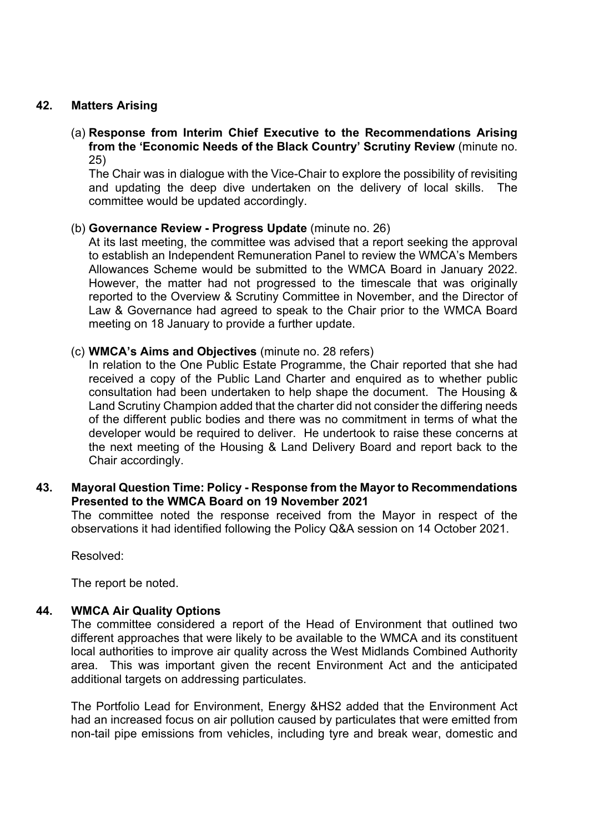### **42. Matters Arising**

(a) **Response from Interim Chief Executive to the Recommendations Arising from the 'Economic Needs of the Black Country' Scrutiny Review** (minute no. 25)

The Chair was in dialogue with the Vice-Chair to explore the possibility of revisiting and updating the deep dive undertaken on the delivery of local skills. The committee would be updated accordingly.

### (b) **Governance Review - Progress Update** (minute no. 26)

At its last meeting, the committee was advised that a report seeking the approval to establish an Independent Remuneration Panel to review the WMCA's Members Allowances Scheme would be submitted to the WMCA Board in January 2022. However, the matter had not progressed to the timescale that was originally reported to the Overview & Scrutiny Committee in November, and the Director of Law & Governance had agreed to speak to the Chair prior to the WMCA Board meeting on 18 January to provide a further update.

### (c) **WMCA's Aims and Objectives** (minute no. 28 refers)

In relation to the One Public Estate Programme, the Chair reported that she had received a copy of the Public Land Charter and enquired as to whether public consultation had been undertaken to help shape the document. The Housing & Land Scrutiny Champion added that the charter did not consider the differing needs of the different public bodies and there was no commitment in terms of what the developer would be required to deliver. He undertook to raise these concerns at the next meeting of the Housing & Land Delivery Board and report back to the Chair accordingly.

## **43. Mayoral Question Time: Policy - Response from the Mayor to Recommendations Presented to the WMCA Board on 19 November 2021**

The committee noted the response received from the Mayor in respect of the observations it had identified following the Policy Q&A session on 14 October 2021.

Resolved:

The report be noted.

#### **44. WMCA Air Quality Options**

The committee considered a report of the Head of Environment that outlined two different approaches that were likely to be available to the WMCA and its constituent local authorities to improve air quality across the West Midlands Combined Authority area. This was important given the recent Environment Act and the anticipated additional targets on addressing particulates.

The Portfolio Lead for Environment, Energy &HS2 added that the Environment Act had an increased focus on air pollution caused by particulates that were emitted from non-tail pipe emissions from vehicles, including tyre and break wear, domestic and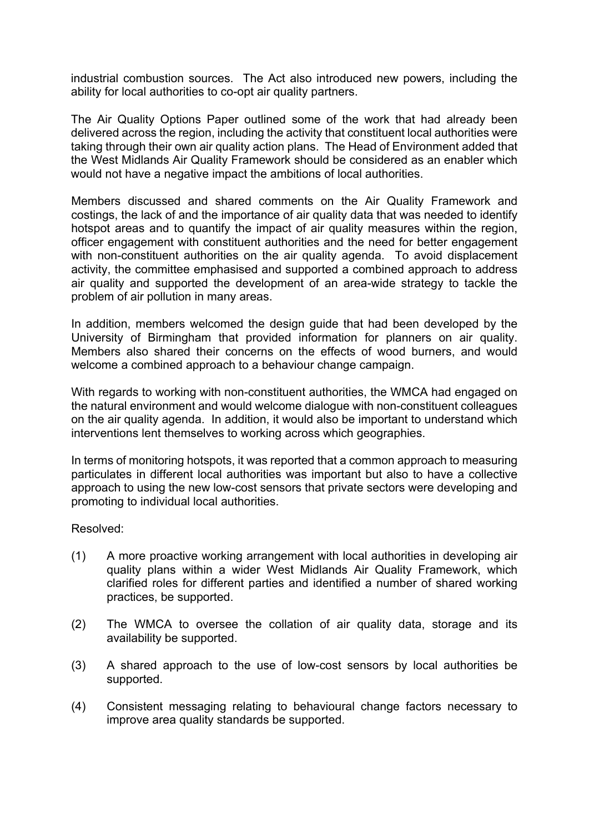industrial combustion sources. The Act also introduced new powers, including the ability for local authorities to co-opt air quality partners.

The Air Quality Options Paper outlined some of the work that had already been delivered across the region, including the activity that constituent local authorities were taking through their own air quality action plans. The Head of Environment added that the West Midlands Air Quality Framework should be considered as an enabler which would not have a negative impact the ambitions of local authorities.

Members discussed and shared comments on the Air Quality Framework and costings, the lack of and the importance of air quality data that was needed to identify hotspot areas and to quantify the impact of air quality measures within the region, officer engagement with constituent authorities and the need for better engagement with non-constituent authorities on the air quality agenda. To avoid displacement activity, the committee emphasised and supported a combined approach to address air quality and supported the development of an area-wide strategy to tackle the problem of air pollution in many areas.

In addition, members welcomed the design guide that had been developed by the University of Birmingham that provided information for planners on air quality. Members also shared their concerns on the effects of wood burners, and would welcome a combined approach to a behaviour change campaign.

With regards to working with non-constituent authorities, the WMCA had engaged on the natural environment and would welcome dialogue with non-constituent colleagues on the air quality agenda. In addition, it would also be important to understand which interventions lent themselves to working across which geographies.

In terms of monitoring hotspots, it was reported that a common approach to measuring particulates in different local authorities was important but also to have a collective approach to using the new low-cost sensors that private sectors were developing and promoting to individual local authorities.

Resolved:

- (1) A more proactive working arrangement with local authorities in developing air quality plans within a wider West Midlands Air Quality Framework, which clarified roles for different parties and identified a number of shared working practices, be supported.
- (2) The WMCA to oversee the collation of air quality data, storage and its availability be supported.
- (3) A shared approach to the use of low-cost sensors by local authorities be supported.
- (4) Consistent messaging relating to behavioural change factors necessary to improve area quality standards be supported.